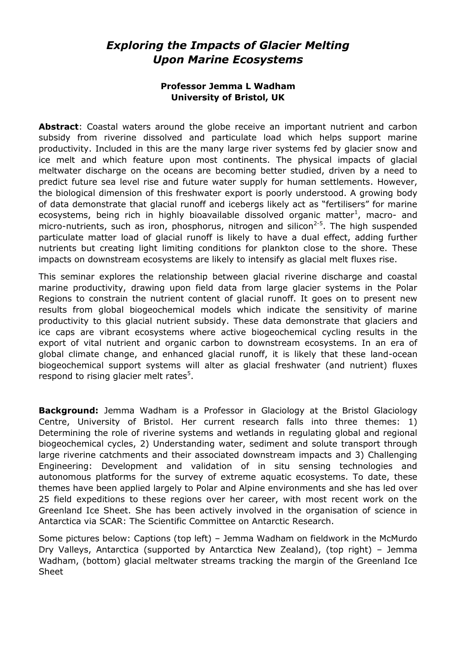## *Exploring the Impacts of Glacier Melting Upon Marine Ecosystems*

## **Professor Jemma L Wadham University of Bristol, UK**

**Abstract**: Coastal waters around the globe receive an important nutrient and carbon subsidy from riverine dissolved and particulate load which helps support marine productivity. Included in this are the many large river systems fed by glacier snow and ice melt and which feature upon most continents. The physical impacts of glacial meltwater discharge on the oceans are becoming better studied, driven by a need to predict future sea level rise and future water supply for human settlements. However, the biological dimension of this freshwater export is poorly understood. A growing body of data demonstrate that glacial runoff and icebergs likely act as "fertilisers" for marine ecosystems, being rich in highly bioavailable dissolved organic matter<sup>1</sup>, macro- and micro-nutrients, such as iron, phosphorus, nitrogen and silicon $^{2-5}$ . The high suspended particulate matter load of glacial runoff is likely to have a dual effect, adding further nutrients but creating light limiting conditions for plankton close to the shore. These impacts on downstream ecosystems are likely to intensify as glacial melt fluxes rise.

This seminar explores the relationship between glacial riverine discharge and coastal marine productivity, drawing upon field data from large glacier systems in the Polar Regions to constrain the nutrient content of glacial runoff. It goes on to present new results from global biogeochemical models which indicate the sensitivity of marine productivity to this glacial nutrient subsidy. These data demonstrate that glaciers and ice caps are vibrant ecosystems where active biogeochemical cycling results in the export of vital nutrient and organic carbon to downstream ecosystems. In an era of global climate change, and enhanced glacial runoff, it is likely that these land-ocean biogeochemical support systems will alter as glacial freshwater (and nutrient) fluxes respond to rising glacier melt rates $5$ .

**Background:** Jemma Wadham is a Professor in Glaciology at the Bristol Glaciology Centre, University of Bristol. Her current research falls into three themes: 1) Determining the role of riverine systems and wetlands in regulating global and regional biogeochemical cycles, 2) Understanding water, sediment and solute transport through large riverine catchments and their associated downstream impacts and 3) Challenging Engineering: Development and validation of in situ sensing technologies and autonomous platforms for the survey of extreme aquatic ecosystems. To date, these themes have been applied largely to Polar and Alpine environments and she has led over 25 field expeditions to these regions over her career, with most recent work on the Greenland Ice Sheet. She has been actively involved in the organisation of science in Antarctica via SCAR: The Scientific Committee on Antarctic Research.

Some pictures below: Captions (top left) – Jemma Wadham on fieldwork in the McMurdo Dry Valleys, Antarctica (supported by Antarctica New Zealand), (top right) – Jemma Wadham, (bottom) glacial meltwater streams tracking the margin of the Greenland Ice Sheet